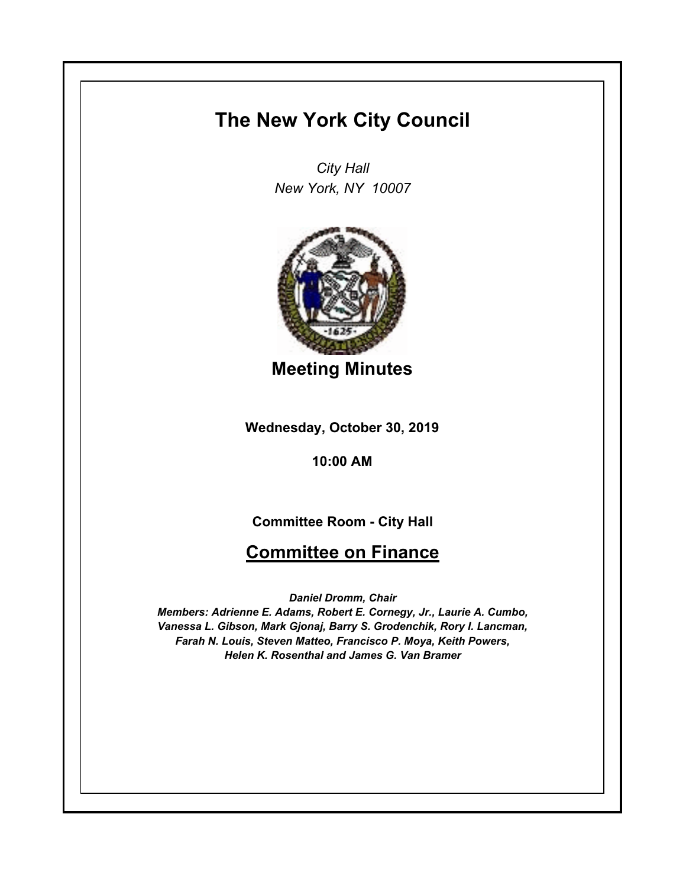## **The New York City Council**

*City Hall New York, NY 10007*



**Meeting Minutes**

**Wednesday, October 30, 2019**

**10:00 AM**

**Committee Room - City Hall**

## **Committee on Finance**

*Daniel Dromm, Chair*

*Members: Adrienne E. Adams, Robert E. Cornegy, Jr., Laurie A. Cumbo, Vanessa L. Gibson, Mark Gjonaj, Barry S. Grodenchik, Rory I. Lancman, Farah N. Louis, Steven Matteo, Francisco P. Moya, Keith Powers, Helen K. Rosenthal and James G. Van Bramer*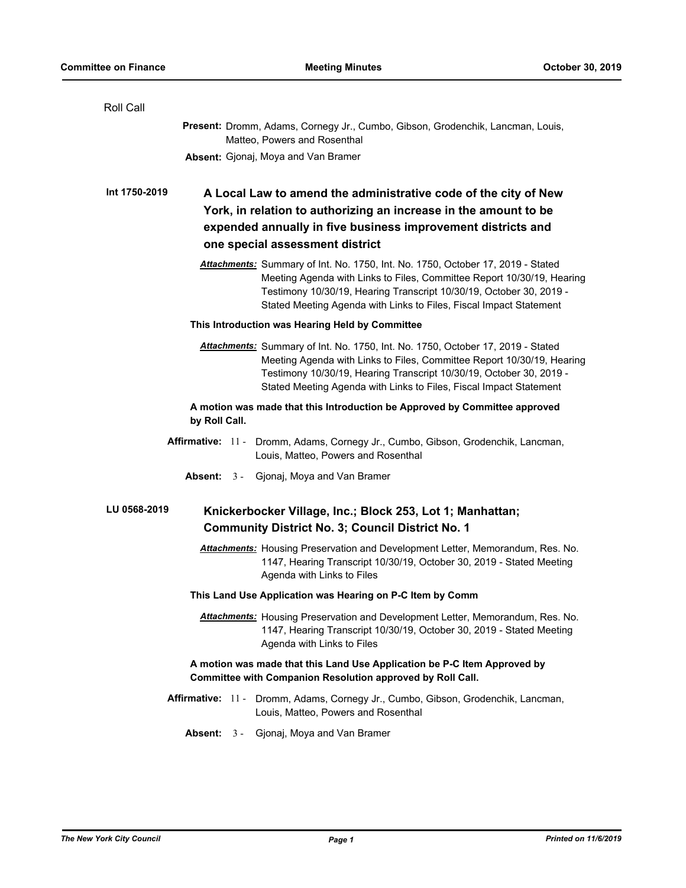| Roll Call                                                                                                                                                                                                                                                                                              |
|--------------------------------------------------------------------------------------------------------------------------------------------------------------------------------------------------------------------------------------------------------------------------------------------------------|
| Present: Dromm, Adams, Cornegy Jr., Cumbo, Gibson, Grodenchik, Lancman, Louis,<br>Matteo, Powers and Rosenthal                                                                                                                                                                                         |
| <b>Absent:</b> Gjonaj, Moya and Van Bramer                                                                                                                                                                                                                                                             |
| Int 1750-2019<br>A Local Law to amend the administrative code of the city of New<br>York, in relation to authorizing an increase in the amount to be<br>expended annually in five business improvement districts and<br>one special assessment district                                                |
| Attachments: Summary of Int. No. 1750, Int. No. 1750, October 17, 2019 - Stated<br>Meeting Agenda with Links to Files, Committee Report 10/30/19, Hearing<br>Testimony 10/30/19, Hearing Transcript 10/30/19, October 30, 2019 -<br>Stated Meeting Agenda with Links to Files, Fiscal Impact Statement |
| This Introduction was Hearing Held by Committee                                                                                                                                                                                                                                                        |
| Attachments: Summary of Int. No. 1750, Int. No. 1750, October 17, 2019 - Stated<br>Meeting Agenda with Links to Files, Committee Report 10/30/19, Hearing<br>Testimony 10/30/19, Hearing Transcript 10/30/19, October 30, 2019 -<br>Stated Meeting Agenda with Links to Files, Fiscal Impact Statement |
| A motion was made that this Introduction be Approved by Committee approved<br>by Roll Call.                                                                                                                                                                                                            |
| Affirmative: 11 - Dromm, Adams, Cornegy Jr., Cumbo, Gibson, Grodenchik, Lancman,<br>Louis, Matteo, Powers and Rosenthal                                                                                                                                                                                |
| <b>Absent:</b> 3 - Gjonaj, Moya and Van Bramer                                                                                                                                                                                                                                                         |
| LU 0568-2019<br>Knickerbocker Village, Inc.; Block 253, Lot 1; Manhattan;<br><b>Community District No. 3; Council District No. 1</b>                                                                                                                                                                   |
| Attachments: Housing Preservation and Development Letter, Memorandum, Res. No.<br>1147, Hearing Transcript 10/30/19, October 30, 2019 - Stated Meeting<br>Agenda with Links to Files                                                                                                                   |
| This Land Use Application was Hearing on P-C Item by Comm                                                                                                                                                                                                                                              |
| Attachments: Housing Preservation and Development Letter, Memorandum, Res. No.<br>1147, Hearing Transcript 10/30/19, October 30, 2019 - Stated Meeting<br>Agenda with Links to Files                                                                                                                   |
| A motion was made that this Land Use Application be P-C Item Approved by<br>Committee with Companion Resolution approved by Roll Call.                                                                                                                                                                 |
| Affirmative: 11 - Dromm, Adams, Cornegy Jr., Cumbo, Gibson, Grodenchik, Lancman,<br>Louis, Matteo, Powers and Rosenthal                                                                                                                                                                                |
| Absent: 3 - Gjonaj, Moya and Van Bramer                                                                                                                                                                                                                                                                |